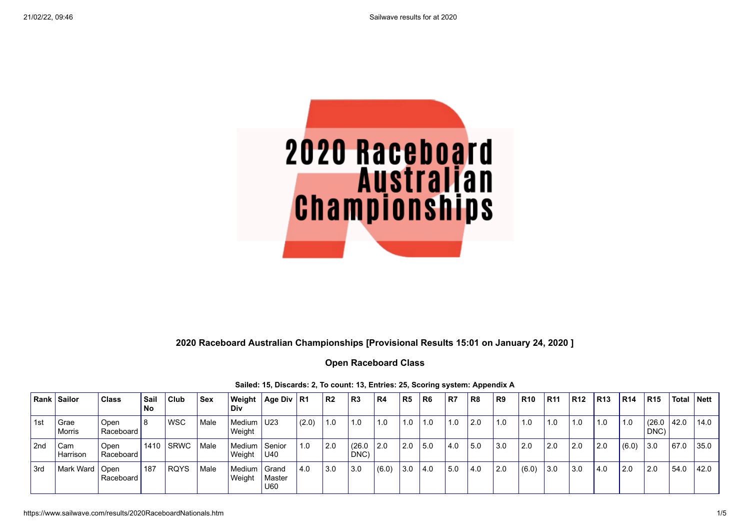

## **2020 Raceboard Australian Championships [Provisional Results 15:01 on January 24, 2020 ]**

## **Open Raceboard Class**

|     | <b>Rank Sailor</b> | <b>Class</b>      | Sail<br>No | Club       | <b>Sex</b> | Weight<br>Div             | Age Div   R1  |             | IR2 | R <sub>3</sub> | R <sub>4</sub> | R5  | R <sub>6</sub> | R7    | R <sub>8</sub> | R9  | <b>R10</b> | <b>R11</b>  | <b>R12</b> | <b>R13</b> | <b>R14</b> | <b>R15</b>     | Total   Nett |      |
|-----|--------------------|-------------------|------------|------------|------------|---------------------------|---------------|-------------|-----|----------------|----------------|-----|----------------|-------|----------------|-----|------------|-------------|------------|------------|------------|----------------|--------------|------|
| 1st | Grae<br>Morris     | Open<br>Raceboard | 18         | <b>WSC</b> | Male       | Medium U23<br>Weight      |               | (2.0)       | 1.0 | 1.0            | 1.0            | 1.0 | 1.0            | 1.0   | 2.0            | 1.0 | 1.0        | $\vert$ 1.0 | 1.0        | 1.0        | 1.0        | (26.0)<br>DNC) | 42.0         | 14.0 |
| 2nd | Cam<br>Harrison    | Open<br>Raceboard |            | 1410 SRWC  | Male       | Medium   Senior<br>Weight | U40           | $\vert$ 1.0 | 2.0 | (26.0)<br>DNC) | 2.0            | 2.0 | 15.0           | l 4.0 | l 5.0          | 3.0 | l 2.0      | l 2.0       | l 2.0      | 2.0        | (6.0)      | 3.0            | 67.0         | 35.0 |
| 3rd | Mark Ward   Open   | Raceboard         | 187        | RQYS       | Male       | Medium   Grand<br>Weight  | Master<br>U60 | 4.0         | 3.0 | 3.0            | (6.0)          | 3.0 | 4.0            | 5.0   | 4.0            | 2.0 | (6.0)      | l 3.0       | 3.0        | 4.0        | 2.0        | 12.0           | 54.0         | 42.0 |

#### **Sailed: 15, Discards: 2, To count: 13, Entries: 25, Scoring system: Appendix A**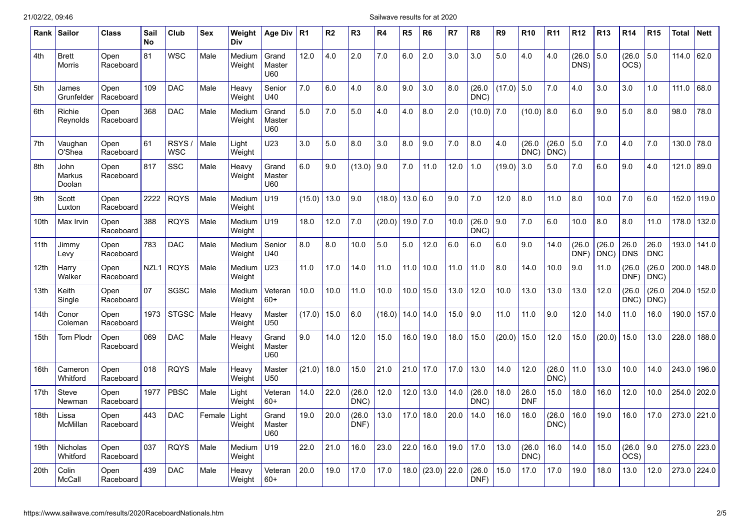### 21/02/22, 09:46 Sailwave results for at 2020

| Rank | <b>Sailor</b>            | Class             | Sail<br><b>No</b> | Club                      | Sex    | Weight<br><b>Div</b> | Age Div                | R <sub>1</sub> | R2   | R <sub>3</sub> | R4     | R5       | R6          | R7   | R <sub>8</sub> | R9     | <b>R10</b>         | <b>R11</b>     | <b>R12</b>     | <b>R13</b>    | R14                       | R <sub>15</sub>    | Total | <b>Nett</b> |
|------|--------------------------|-------------------|-------------------|---------------------------|--------|----------------------|------------------------|----------------|------|----------------|--------|----------|-------------|------|----------------|--------|--------------------|----------------|----------------|---------------|---------------------------|--------------------|-------|-------------|
| 4th  | <b>Brett</b><br>Morris   | Open<br>Raceboard | 81                | WSC                       | Male   | Medium<br>Weight     | Grand<br>Master<br>U60 | 12.0           | 4.0  | 2.0            | 7.0    | 6.0      | 2.0         | 3.0  | 3.0            | 5.0    | 4.0                | 4.0            | (26.0)<br>DNS) | 5.0           | (26.0<br>OCS)             | 5.0                | 114.0 | 62.0        |
| 5th  | James<br>Grunfelder      | Open<br>Raceboard | 109               | <b>DAC</b>                | Male   | Heavy<br>Weight      | Senior<br>U40          | 7.0            | 6.0  | 4.0            | 8.0    | 9.0      | 3.0         | 8.0  | (26.0)<br>DNC) | (17.0) | 5.0                | 7.0            | 4.0            | 3.0           | 3.0                       | 1.0                | 111.0 | 68.0        |
| 6th  | Richie<br>Reynolds       | Open<br>Raceboard | 368               | <b>DAC</b>                | Male   | Medium<br>Weight     | Grand<br>Master<br>U60 | 5.0            | 7.0  | 5.0            | 4.0    | 4.0      | 8.0         | 2.0  | (10.0)         | 7.0    | (10.0)             | 8.0            | 6.0            | 9.0           | 5.0                       | 8.0                | 98.0  | 78.0        |
| 7th  | Vaughan<br>O'Shea        | Open<br>Raceboard | 61                | <b>RSYS</b><br><b>WSC</b> | Male   | Light<br>Weight      | U23                    | 3.0            | 5.0  | 8.0            | 3.0    | 8.0      | 9.0         | 7.0  | 8.0            | 4.0    | (26.0)<br>DNC)     | (26.0)<br>DNC) | 5.0            | 7.0           | 4.0                       | 7.0                | 130.0 | 78.0        |
| 8th  | John<br>Markus<br>Doolan | Open<br>Raceboard | 817               | <b>SSC</b>                | Male   | Heavy<br>Weight      | Grand<br>Master<br>U60 | 6.0            | 9.0  | (13.0)         | 9.0    | 7.0      | 11.0        | 12.0 | 1.0            | (19.0) | 3.0                | 5.0            | 7.0            | 6.0           | 9.0                       | 4.0                | 121.0 | 89.0        |
| 9th  | Scott<br>Luxton          | Open<br>Raceboard | 2222              | <b>RQYS</b>               | Male   | Medium<br>Weight     | U19                    | (15.0)         | 13.0 | 9.0            | (18.0) | 13.0 6.0 |             | 9.0  | 7.0            | 12.0   | 8.0                | 11.0           | 8.0            | 10.0          | 7.0                       | 6.0                | 152.0 | 119.0       |
| 10th | Max Irvin                | Open<br>Raceboard | 388               | <b>RQYS</b>               | Male   | Medium<br>Weight     | U19                    | 18.0           | 12.0 | 7.0            | (20.0) | 19.0     | 7.0         | 10.0 | (26.0)<br>DNC) | 9.0    | 7.0                | 6.0            | 10.0           | 8.0           | 8.0                       | 11.0               | 178.0 | 132.0       |
| 11th | Jimmy<br>Levy            | Open<br>Raceboard | 783               | <b>DAC</b>                | Male   | Medium<br>Weight     | Senior<br>U40          | 8.0            | 8.0  | 10.0           | 5.0    | 5.0      | 12.0        | 6.0  | 6.0            | 6.0    | 9.0                | 14.0           | (26.0)<br>DNF) | (26.0<br>DNC) | 26.0<br><b>DNS</b>        | 26.0<br><b>DNC</b> | 193.0 | 141.0       |
| 12th | Harry<br>Walker          | Open<br>Raceboard | NZL1              | <b>RQYS</b>               | Male   | Medium<br>Weight     | U23                    | 11.0           | 17.0 | 14.0           | 11.0   | 11.0     | 10.0        | 11.0 | 11.0           | 8.0    | 14.0               | 10.0           | 9.0            | 11.0          | (26.0<br>DNF)             | (26.0)<br>DNC)     | 200.0 | 148.0       |
| 13th | Keith<br>Single          | Open<br>Raceboard | 07                | SGSC                      | Male   | Medium<br>Weight     | Veteran<br>$60+$       | 10.0           | 10.0 | 11.0           | 10.0   | 10.0     | 15.0        | 13.0 | 12.0           | 10.0   | 13.0               | 13.0           | 13.0           | 12.0          | (26.0<br>DNC)             | (26.0)<br>DNC)     | 204.0 | 152.0       |
| 14th | Conor<br>Coleman         | Open<br>Raceboard | 1973              | <b>STGSC</b>              | Male   | Heavy<br>Weight      | Master<br>U50          | (17.0)         | 15.0 | 6.0            | (16.0) | 14.0     | 14.0        | 15.0 | 9.0            | 11.0   | 11.0               | 9.0            | 12.0           | 14.0          | 11.0                      | 16.0               | 190.0 | 157.0       |
| 15th | <b>Tom Plodr</b>         | Open<br>Raceboard | 069               | <b>DAC</b>                | Male   | Heavy<br>Weight      | Grand<br>Master<br>U60 | 9.0            | 14.0 | 12.0           | 15.0   | 16.0     | 19.0        | 18.0 | 15.0           | (20.0) | 15.0               | 12.0           | 15.0           | (20.0)        | 15.0                      | 13.0               | 228.0 | 188.0       |
| 16th | Cameron<br>Whitford      | Open<br>Raceboard | 018               | <b>RQYS</b>               | Male   | Heavy<br>Weight      | Master<br>U50          | (21.0)         | 18.0 | 15.0           | 21.0   | 21.0     | 17.0        | 17.0 | 13.0           | 14.0   | 12.0               | (26.0)<br>DNC) | 11.0           | 13.0          | 10.0                      | 14.0               | 243.0 | 196.0       |
| 17th | Steve<br>Newman          | Open<br>Raceboard | 1977              | <b>PBSC</b>               | Male   | Light<br>Weight      | Veteran<br>$60+$       | 14.0           | 22.0 | (26.0<br>DNC)  | 12.0   |          | 12.0   13.0 | 14.0 | (26.0)<br>DNC) | 18.0   | 26.0<br><b>DNF</b> | 15.0           | 18.0           | 16.0          | 12.0                      | 10.0               | 254.0 | 202.0       |
| 18th | Lissa<br>McMillan        | Open<br>Raceboard | 443               | <b>DAC</b>                | Female | Light<br>Weight      | Grand<br>Master<br>U60 | 19.0           | 20.0 | (26.0)<br>DNF) | 13.0   | 17.0     | 18.0        | 20.0 | 14.0           | 16.0   | 16.0               | (26.0)<br>DNC) | 16.0           | 19.0          | 16.0                      | 17.0               | 273.0 | 221.0       |
| 19th | Nicholas<br>Whitford     | Open<br>Raceboard | 037               | <b>RQYS</b>               | Male   | Medium<br>Weight     | U19                    | 22.0           | 21.0 | 16.0           | 23.0   | 22.0     | 16.0        | 19.0 | 17.0           | 13.0   | (26.0)<br>DNC)     | 16.0           | 14.0           | 15.0          | (26.0<br>$\overline{OCS}$ | 9.0                | 275.0 | 223.0       |
| 20th | Colin<br><b>McCall</b>   | Open<br>Raceboard | 439               | <b>DAC</b>                | Male   | Heavy<br>Weight      | Veteran<br>$60+$       | 20.0           | 19.0 | 17.0           | 17.0   | 18.0     | (23.0)      | 22.0 | (26.0)<br>DNF) | 15.0   | 17.0               | 17.0           | 19.0           | 18.0          | 13.0                      | 12.0               | 273.0 | 224.0       |